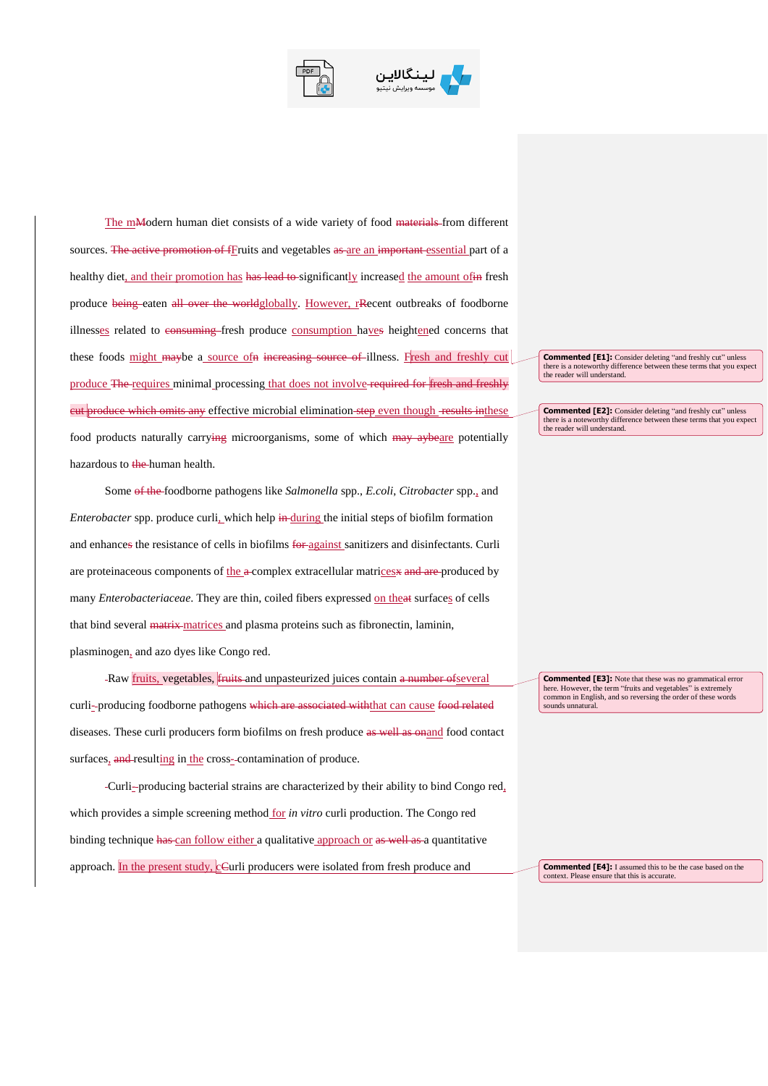



The mModern human diet consists of a wide variety of food materials from different sources. The active promotion of fFruits and vegetables as are an important essential part of a healthy diet, and their promotion has has lead to significantly increased the amount of in fresh produce being eaten all over the worldglobally. However, rRecent outbreaks of foodborne illnesses related to consuming fresh produce consumption haves heightened concerns that these foods might maybe a source of in increasing source of illness. Fresh and freshly cut produce The requires minimal processing that does not involve required for fresh and freshly eut produce which omits any effective microbial elimination step even though results inthese food products naturally carrying microorganisms, some of which may aybeare potentially hazardous to the human health.

Some of the foodborne pathogens like *Salmonella* spp., *E.coli*, *Citrobacter* spp., and *Enterobacter* spp. produce curli, which help in during the initial steps of biofilm formation and enhances the resistance of cells in biofilms for against sanitizers and disinfectants. Curli are proteinaceous components of the a-complex extracellular matrices and are produced by many *Enterobacteriaceae*. They are thin, coiled fibers expressed on theat surfaces of cells that bind several matrix matrices and plasma proteins such as fibronectin, laminin, plasminogen, and azo dyes like Congo red.

-Raw *fruits*, vegetables, *fruits* and unpasteurized juices contain a number of several curli-producing foodborne pathogens which are associated withthat can cause food related diseases. These curli producers form biofilms on fresh produce as well as onand food contact surfaces, and resulting in the cross-contamination of produce.

Curli- producing bacterial strains are characterized by their ability to bind Congo red, which provides a simple screening method for *in vitro* curli production. The Congo red binding technique has can follow either a qualitative approach or as well as a quantitative approach. In the present study, cCurli producers were isolated from fresh produce and

**Commented [E1]:** Consider deleting "and freshly cut" unless there is a noteworthy difference between these terms that you expect the reader will understand.

**Commented [E2]:** Consider deleting "and freshly cut" unless there is a noteworthy difference between these terms that you expect the reader will understand.

**Commented [E3]:** Note that these was no grammatical error here. However, the term "fruits and vegetables" is extremely common in English, and so reversing the order of these words sounds unnatural.

**Commented [E4]:** I assumed this to be the case based on the context. Please ensure that this is accurate.